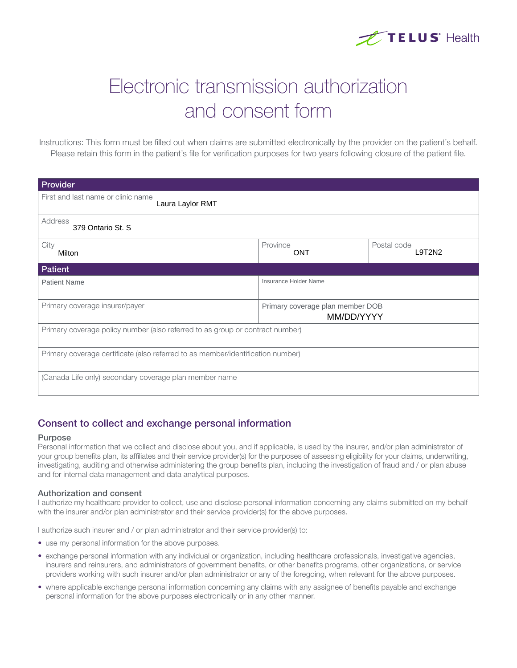

# Electronic transmission authorization and consent form

Instructions: This form must be filled out when claims are submitted electronically by the provider on the patient's behalf. Please retain this form in the patient's file for verification purposes for two years following closure of the patient file.

| Provider                                                                        |                                                |                       |
|---------------------------------------------------------------------------------|------------------------------------------------|-----------------------|
| First and last name or clinic name<br>Laura Laylor RMT                          |                                                |                       |
| Address<br>379 Ontario St. S                                                    |                                                |                       |
| City<br>Milton                                                                  | Province<br><b>ONT</b>                         | Postal code<br>L9T2N2 |
| <b>Patient</b>                                                                  |                                                |                       |
| <b>Patient Name</b>                                                             | Insurance Holder Name                          |                       |
| Primary coverage insurer/payer                                                  | Primary coverage plan member DOB<br>MM/DD/YYYY |                       |
| Primary coverage policy number (also referred to as group or contract number)   |                                                |                       |
| Primary coverage certificate (also referred to as member/identification number) |                                                |                       |
| (Canada Life only) secondary coverage plan member name                          |                                                |                       |

## Consent to collect and exchange personal information

#### Purpose

Personal information that we collect and disclose about you, and if applicable, is used by the insurer, and/or plan administrator of your group benefits plan, its affiliates and their service provider(s) for the purposes of assessing eligibility for your claims, underwriting, investigating, auditing and otherwise administering the group benefits plan, including the investigation of fraud and / or plan abuse and for internal data management and data analytical purposes.

#### Authorization and consent

I authorize my healthcare provider to collect, use and disclose personal information concerning any claims submitted on my behalf with the insurer and/or plan administrator and their service provider(s) for the above purposes.

I authorize such insurer and / or plan administrator and their service provider(s) to:

- use my personal information for the above purposes.
- exchange personal information with any individual or organization, including healthcare professionals, investigative agencies, insurers and reinsurers, and administrators of government benefits, or other benefits programs, other organizations, or service providers working with such insurer and/or plan administrator or any of the foregoing, when relevant for the above purposes.
- where applicable exchange personal information concerning any claims with any assignee of benefits payable and exchange personal information for the above purposes electronically or in any other manner.